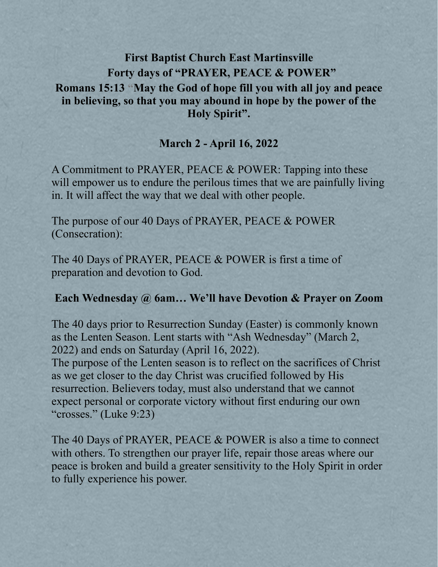# **First Baptist Church East Martinsville Forty days of "PRAYER, PEACE & POWER" Romans 15:13 "May the God of hope fill you with all joy and peace in believing, so that you may abound in hope by the power of the Holy Spirit".**

## **March 2 - April 16, 2022**

A Commitment to PRAYER, PEACE & POWER: Tapping into these will empower us to endure the perilous times that we are painfully living in. It will affect the way that we deal with other people.

The purpose of our 40 Days of PRAYER, PEACE & POWER (Consecration):

The 40 Days of PRAYER, PEACE & POWER is first a time of preparation and devotion to God.

### **Each Wednesday @ 6am… We'll have Devotion & Prayer on Zoom**

The 40 days prior to Resurrection Sunday (Easter) is commonly known as the Lenten Season. Lent starts with "Ash Wednesday" (March 2, 2022) and ends on Saturday (April 16, 2022).

The purpose of the Lenten season is to reflect on the sacrifices of Christ as we get closer to the day Christ was crucified followed by His resurrection. Believers today, must also understand that we cannot expect personal or corporate victory without first enduring our own "crosses." (Luke 9:23)

The 40 Days of PRAYER, PEACE & POWER is also a time to connect with others. To strengthen our prayer life, repair those areas where our peace is broken and build a greater sensitivity to the Holy Spirit in order to fully experience his power.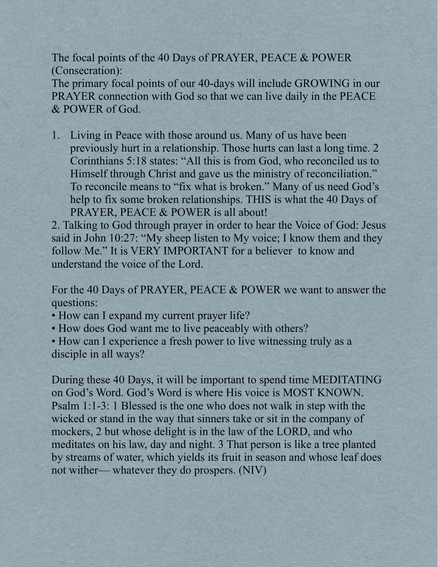The focal points of the 40 Days of PRAYER, PEACE & POWER (Consecration):

The primary focal points of our 40-days will include GROWING in our PRAYER connection with God so that we can live daily in the PEACE & POWER of God.

1. Living in Peace with those around us. Many of us have been previously hurt in a relationship. Those hurts can last a long time. 2 Corinthians 5:18 states: "All this is from God, who reconciled us to Himself through Christ and gave us the ministry of reconciliation." To reconcile means to "fix what is broken." Many of us need God's help to fix some broken relationships. THIS is what the 40 Days of PRAYER, PEACE & POWER is all about!

2. Talking to God through prayer in order to hear the Voice of God: Jesus said in John 10:27: "My sheep listen to My voice; I know them and they follow Me." It is VERY IMPORTANT for a believer to know and understand the voice of the Lord.

For the 40 Days of PRAYER, PEACE & POWER we want to answer the questions:

- How can I expand my current prayer life?
- How does God want me to live peaceably with others?
- How can I experience a fresh power to live witnessing truly as a disciple in all ways?

During these 40 Days, it will be important to spend time MEDITATING on God's Word. God's Word is where His voice is MOST KNOWN. Psalm 1:1-3: 1 Blessed is the one who does not walk in step with the wicked or stand in the way that sinners take or sit in the company of mockers, 2 but whose delight is in the law of the LORD, and who meditates on his law, day and night. 3 That person is like a tree planted by streams of water, which yields its fruit in season and whose leaf does not wither— whatever they do prospers. (NIV)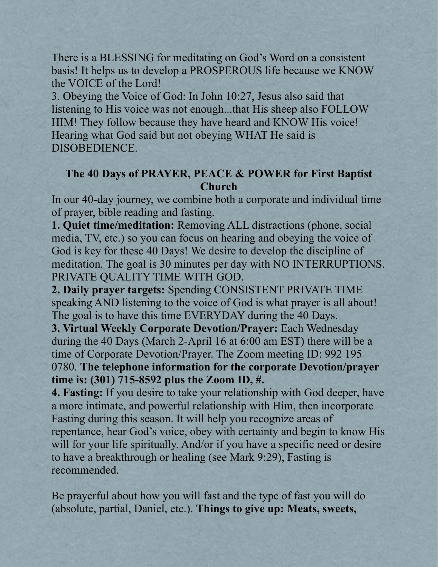There is a BLESSING for meditating on God's Word on a consistent basis! It helps us to develop a PROSPEROUS life because we KNOW the VOICE of the Lord!

3. Obeying the Voice of God: In John 10:27, Jesus also said that listening to His voice was not enough...that His sheep also FOLLOW HIM! They follow because they have heard and KNOW His voice! Hearing what God said but not obeying WHAT He said is DISOBEDIENCE.

## **The 40 Days of PRAYER, PEACE & POWER for First Baptist Church**

In our 40-day journey, we combine both a corporate and individual time of prayer, bible reading and fasting.

**1. Quiet time/meditation:** Removing ALL distractions (phone, social media, TV, etc.) so you can focus on hearing and obeying the voice of God is key for these 40 Days! We desire to develop the discipline of meditation. The goal is 30 minutes per day with NO INTERRUPTIONS. PRIVATE QUALITY TIME WITH GOD.

**2. Daily prayer targets:** Spending CONSISTENT PRIVATE TIME speaking AND listening to the voice of God is what prayer is all about! The goal is to have this time EVERYDAY during the 40 Days.

**3. Virtual Weekly Corporate Devotion/Prayer:** Each Wednesday during the 40 Days (March 2-April 16 at 6:00 am EST) there will be a time of Corporate Devotion/Prayer. The Zoom meeting ID: 992 195 0780. **The telephone information for the corporate Devotion/prayer time is: (301) 715-8592 plus the Zoom ID, #.**

**4. Fasting:** If you desire to take your relationship with God deeper, have a more intimate, and powerful relationship with Him, then incorporate Fasting during this season. It will help you recognize areas of repentance, hear God's voice, obey with certainty and begin to know His will for your life spiritually. And/or if you have a specific need or desire to have a breakthrough or healing (see Mark 9:29), Fasting is recommended.

Be prayerful about how you will fast and the type of fast you will do (absolute, partial, Daniel, etc.). **Things to give up: Meats, sweets,**